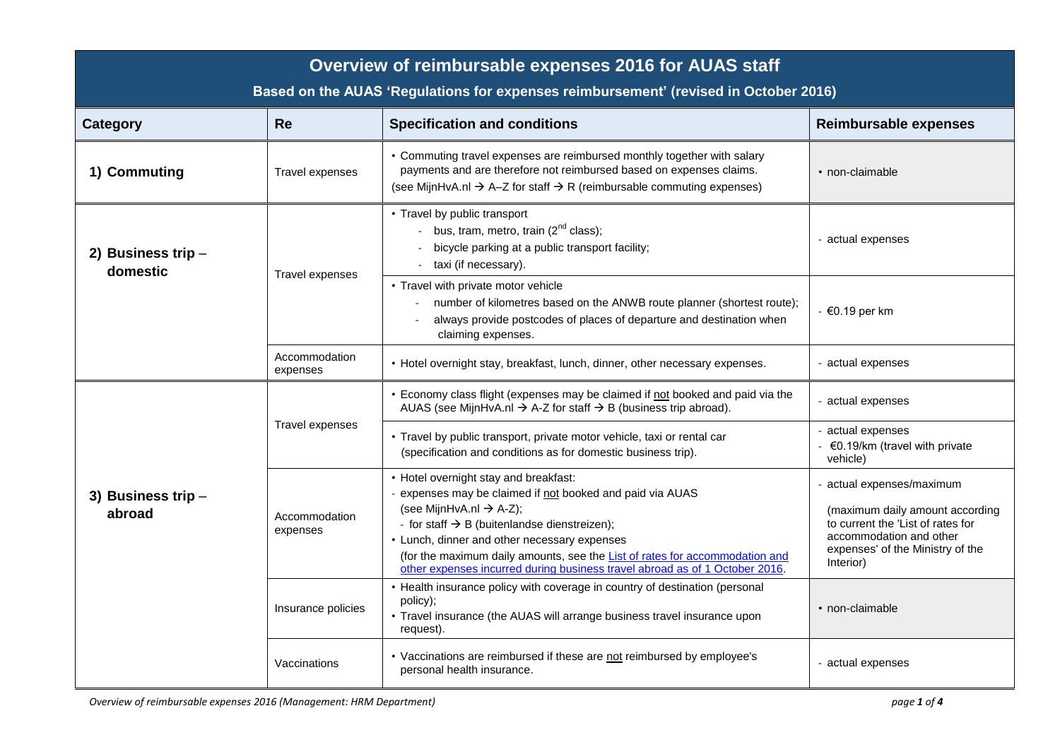| Overview of reimbursable expenses 2016 for AUAS staff<br>Based on the AUAS 'Regulations for expenses reimbursement' (revised in October 2016) |                                              |                                                                                                                                                                                                                                                                                                                                                                                                                     |                                                                                                                                                                               |  |  |  |
|-----------------------------------------------------------------------------------------------------------------------------------------------|----------------------------------------------|---------------------------------------------------------------------------------------------------------------------------------------------------------------------------------------------------------------------------------------------------------------------------------------------------------------------------------------------------------------------------------------------------------------------|-------------------------------------------------------------------------------------------------------------------------------------------------------------------------------|--|--|--|
| <b>Category</b>                                                                                                                               | <b>Re</b>                                    | <b>Specification and conditions</b>                                                                                                                                                                                                                                                                                                                                                                                 | <b>Reimbursable expenses</b>                                                                                                                                                  |  |  |  |
| 1) Commuting                                                                                                                                  | Travel expenses                              | • Commuting travel expenses are reimbursed monthly together with salary<br>payments and are therefore not reimbursed based on expenses claims.<br>(see MijnHvA.nl $\rightarrow$ A-Z for staff $\rightarrow$ R (reimbursable commuting expenses)                                                                                                                                                                     | • non-claimable                                                                                                                                                               |  |  |  |
| 2) Business trip $-$<br>domestic                                                                                                              | Travel expenses                              | • Travel by public transport<br>- bus, tram, metro, train $(2^{nd}$ class);<br>bicycle parking at a public transport facility;<br>taxi (if necessary).                                                                                                                                                                                                                                                              | - actual expenses                                                                                                                                                             |  |  |  |
|                                                                                                                                               |                                              | • Travel with private motor vehicle<br>number of kilometres based on the ANWB route planner (shortest route);<br>always provide postcodes of places of departure and destination when<br>claiming expenses.                                                                                                                                                                                                         | $-60.19$ per km                                                                                                                                                               |  |  |  |
|                                                                                                                                               | Accommodation<br>expenses                    | • Hotel overnight stay, breakfast, lunch, dinner, other necessary expenses.                                                                                                                                                                                                                                                                                                                                         | - actual expenses                                                                                                                                                             |  |  |  |
|                                                                                                                                               | Travel expenses<br>Accommodation<br>expenses | • Economy class flight (expenses may be claimed if not booked and paid via the<br>AUAS (see MijnHvA.nl $\rightarrow$ A-Z for staff $\rightarrow$ B (business trip abroad).                                                                                                                                                                                                                                          | - actual expenses                                                                                                                                                             |  |  |  |
|                                                                                                                                               |                                              | • Travel by public transport, private motor vehicle, taxi or rental car<br>(specification and conditions as for domestic business trip).                                                                                                                                                                                                                                                                            | - actual expenses<br>€0.19/km (travel with private<br>vehicle)                                                                                                                |  |  |  |
| 3) Business trip $-$<br>abroad                                                                                                                |                                              | • Hotel overnight stay and breakfast:<br>- expenses may be claimed if not booked and paid via AUAS<br>(see MijnHvA.nl $\rightarrow$ A-Z);<br>- for staff $\rightarrow$ B (buitenlandse dienstreizen);<br>• Lunch, dinner and other necessary expenses<br>(for the maximum daily amounts, see the List of rates for accommodation and<br>other expenses incurred during business travel abroad as of 1 October 2016. | - actual expenses/maximum<br>(maximum daily amount according<br>to current the 'List of rates for<br>accommodation and other<br>expenses' of the Ministry of the<br>Interior) |  |  |  |
|                                                                                                                                               | Insurance policies                           | • Health insurance policy with coverage in country of destination (personal<br>policy);<br>• Travel insurance (the AUAS will arrange business travel insurance upon<br>request).                                                                                                                                                                                                                                    | • non-claimable                                                                                                                                                               |  |  |  |
|                                                                                                                                               | Vaccinations                                 | • Vaccinations are reimbursed if these are not reimbursed by employee's<br>personal health insurance.                                                                                                                                                                                                                                                                                                               | - actual expenses                                                                                                                                                             |  |  |  |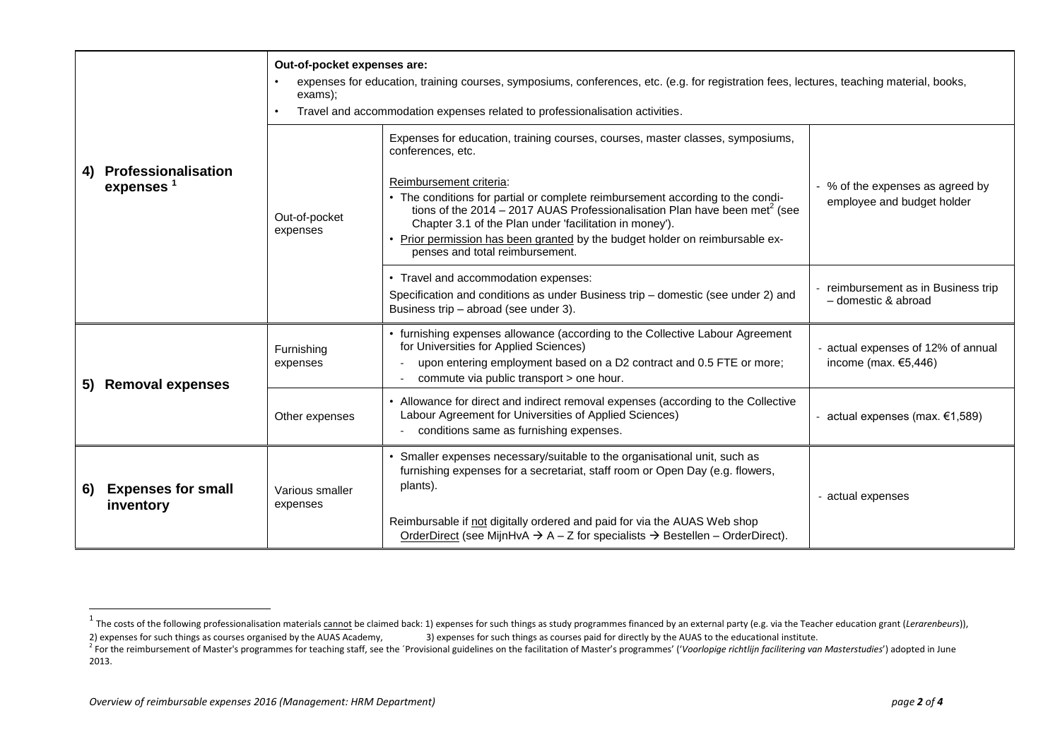|    | Professionalisation<br>expenses <sup>1</sup> | Out-of-pocket expenses are:<br>expenses for education, training courses, symposiums, conferences, etc. (e.g. for registration fees, lectures, teaching material, books,<br>exams);<br>Travel and accommodation expenses related to professionalisation activities. |                                                                                                                                                                                                                                                                                                                                                                                                                                                                                          |                                                                |
|----|----------------------------------------------|--------------------------------------------------------------------------------------------------------------------------------------------------------------------------------------------------------------------------------------------------------------------|------------------------------------------------------------------------------------------------------------------------------------------------------------------------------------------------------------------------------------------------------------------------------------------------------------------------------------------------------------------------------------------------------------------------------------------------------------------------------------------|----------------------------------------------------------------|
| 4) |                                              | Out-of-pocket<br>expenses                                                                                                                                                                                                                                          | Expenses for education, training courses, courses, master classes, symposiums,<br>conferences, etc.<br>Reimbursement criteria:<br>• The conditions for partial or complete reimbursement according to the condi-<br>tions of the 2014 – 2017 AUAS Professionalisation Plan have been met <sup>2</sup> (see<br>Chapter 3.1 of the Plan under 'facilitation in money').<br>• Prior permission has been granted by the budget holder on reimbursable ex-<br>penses and total reimbursement. | - % of the expenses as agreed by<br>employee and budget holder |
|    |                                              |                                                                                                                                                                                                                                                                    | • Travel and accommodation expenses:<br>Specification and conditions as under Business trip – domestic (see under 2) and<br>Business trip - abroad (see under 3).                                                                                                                                                                                                                                                                                                                        | reimbursement as in Business trip<br>- domestic & abroad       |
| 5) | <b>Removal expenses</b>                      | Furnishing<br>expenses                                                                                                                                                                                                                                             | • furnishing expenses allowance (according to the Collective Labour Agreement<br>for Universities for Applied Sciences)<br>upon entering employment based on a D2 contract and 0.5 FTE or more;<br>commute via public transport > one hour.                                                                                                                                                                                                                                              | actual expenses of 12% of annual<br>income (max. $€5,446$ )    |
|    |                                              | Other expenses                                                                                                                                                                                                                                                     | • Allowance for direct and indirect removal expenses (according to the Collective<br>Labour Agreement for Universities of Applied Sciences)<br>conditions same as furnishing expenses.                                                                                                                                                                                                                                                                                                   | actual expenses (max. €1,589)                                  |
| 6) | <b>Expenses for small</b><br>inventory       | Various smaller<br>expenses                                                                                                                                                                                                                                        | • Smaller expenses necessary/suitable to the organisational unit, such as<br>furnishing expenses for a secretariat, staff room or Open Day (e.g. flowers,<br>plants).<br>Reimbursable if not digitally ordered and paid for via the AUAS Web shop<br>OrderDirect (see MijnHvA $\rightarrow$ A - Z for specialists $\rightarrow$ Bestellen - OrderDirect).                                                                                                                                | - actual expenses                                              |

2013.

 $\overline{a}$ 

<sup>&</sup>lt;sup>1</sup> The costs of the following professionalisation materials cannot be claimed back: 1) expenses for such things as study programmes financed by an external party (e.g. via the Teacher education grant (*Lerarenbeurs*)), 2) expenses for such things as courses organised by the AUAS Academy, 3) expenses for such things as courses paid for directly by the AUAS to the educational institute.

<sup>&</sup>lt;sup>2</sup> For the reimbursement of Master's programmes for teaching staff, see the 'Provisional guidelines on the facilitation of Master's programmes' ('Voorlopige richtlijn facilitering van Masterstudies') adopted in June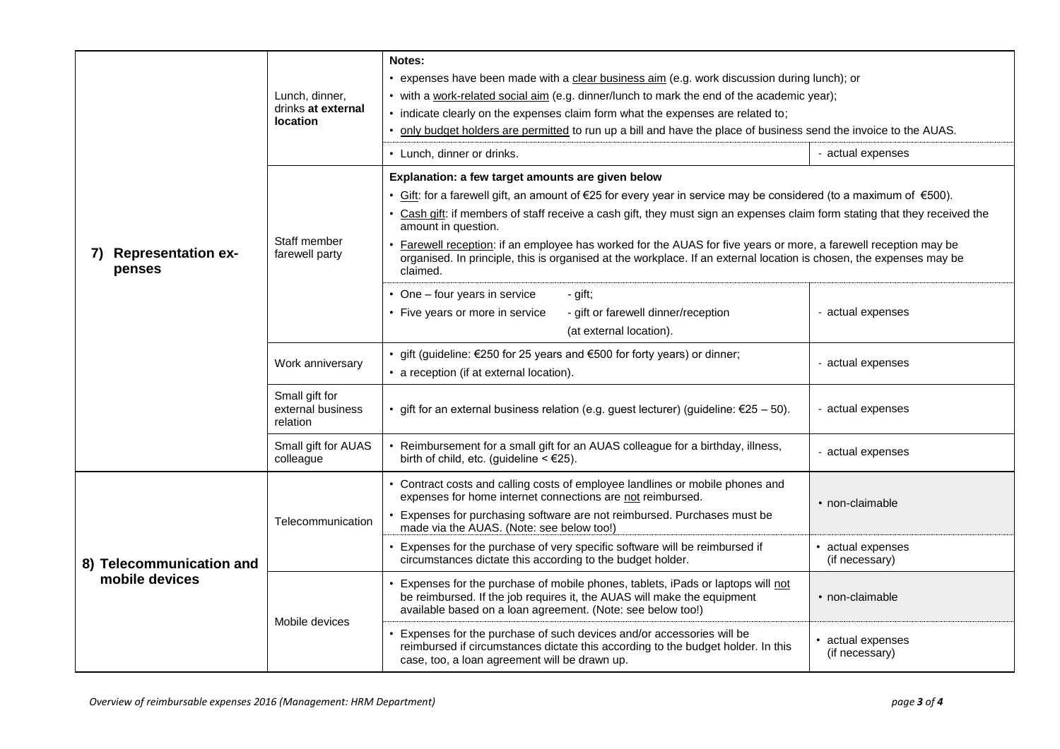|                                           | Lunch, dinner,<br>drinks at external<br><b>location</b> | Notes:<br>• expenses have been made with a clear business aim (e.g. work discussion during lunch); or                                                                                                                                             |                                     |
|-------------------------------------------|---------------------------------------------------------|---------------------------------------------------------------------------------------------------------------------------------------------------------------------------------------------------------------------------------------------------|-------------------------------------|
|                                           |                                                         | • with a work-related social aim (e.g. dinner/lunch to mark the end of the academic year);                                                                                                                                                        |                                     |
|                                           |                                                         | • indicate clearly on the expenses claim form what the expenses are related to;                                                                                                                                                                   |                                     |
|                                           |                                                         | only budget holders are permitted to run up a bill and have the place of business send the invoice to the AUAS.                                                                                                                                   |                                     |
|                                           |                                                         | • Lunch, dinner or drinks.                                                                                                                                                                                                                        | - actual expenses                   |
|                                           | Staff member<br>farewell party                          | Explanation: a few target amounts are given below                                                                                                                                                                                                 |                                     |
|                                           |                                                         | • Gift: for a farewell gift, an amount of $\epsilon$ 25 for every year in service may be considered (to a maximum of $\epsilon$ 500).                                                                                                             |                                     |
|                                           |                                                         | Cash gift: if members of staff receive a cash gift, they must sign an expenses claim form stating that they received the<br>amount in question.                                                                                                   |                                     |
| <b>Representation ex-</b><br>7)<br>penses |                                                         | Farewell reception: if an employee has worked for the AUAS for five years or more, a farewell reception may be<br>organised. In principle, this is organised at the workplace. If an external location is chosen, the expenses may be<br>claimed. |                                     |
|                                           |                                                         | • One - four years in service<br>- gift;                                                                                                                                                                                                          |                                     |
|                                           |                                                         | • Five years or more in service<br>- gift or farewell dinner/reception                                                                                                                                                                            | - actual expenses                   |
|                                           |                                                         | (at external location).                                                                                                                                                                                                                           |                                     |
|                                           | Work anniversary                                        | • gift (guideline: $\epsilon$ 250 for 25 years and $\epsilon$ 500 for forty years) or dinner;<br>• a reception (if at external location).                                                                                                         | - actual expenses                   |
|                                           | Small gift for<br>external business<br>relation         | • gift for an external business relation (e.g. guest lecturer) (guideline: $\epsilon$ 25 - 50).                                                                                                                                                   | - actual expenses                   |
|                                           | Small gift for AUAS<br>colleague                        | Reimbursement for a small gift for an AUAS colleague for a birthday, illness,<br>birth of child, etc. (guideline $\leq \epsilon$ 25).                                                                                                             | - actual expenses                   |
|                                           | Telecommunication                                       | • Contract costs and calling costs of employee landlines or mobile phones and<br>expenses for home internet connections are not reimbursed.                                                                                                       | • non-claimable                     |
|                                           |                                                         | Expenses for purchasing software are not reimbursed. Purchases must be<br>made via the AUAS. (Note: see below too!)                                                                                                                               |                                     |
| 8) Telecommunication and                  |                                                         | Expenses for the purchase of very specific software will be reimbursed if<br>circumstances dictate this according to the budget holder.                                                                                                           | • actual expenses<br>(if necessary) |
| mobile devices                            | Mobile devices                                          | Expenses for the purchase of mobile phones, tablets, iPads or laptops will not<br>be reimbursed. If the job requires it, the AUAS will make the equipment<br>available based on a loan agreement. (Note: see below too!)                          | • non-claimable                     |
|                                           |                                                         | Expenses for the purchase of such devices and/or accessories will be<br>reimbursed if circumstances dictate this according to the budget holder. In this<br>case, too, a loan agreement will be drawn up.                                         | • actual expenses<br>(if necessary) |